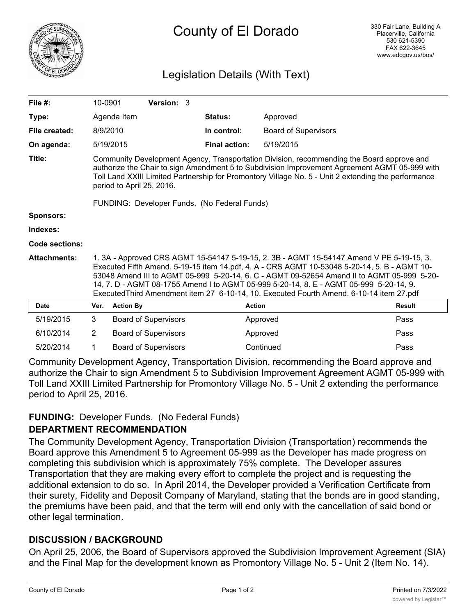

# County of El Dorado

# Legislation Details (With Text)

| File $#$ :          | 10-0901                                                                                                                                                                                                                                                                                                                                                                                                                                                                      |                  | Version: 3                  |  |                      |                             |               |
|---------------------|------------------------------------------------------------------------------------------------------------------------------------------------------------------------------------------------------------------------------------------------------------------------------------------------------------------------------------------------------------------------------------------------------------------------------------------------------------------------------|------------------|-----------------------------|--|----------------------|-----------------------------|---------------|
| Type:               |                                                                                                                                                                                                                                                                                                                                                                                                                                                                              | Agenda Item      |                             |  | Status:              | Approved                    |               |
| File created:       | 8/9/2010                                                                                                                                                                                                                                                                                                                                                                                                                                                                     |                  |                             |  | In control:          | <b>Board of Supervisors</b> |               |
| On agenda:          |                                                                                                                                                                                                                                                                                                                                                                                                                                                                              | 5/19/2015        |                             |  | <b>Final action:</b> | 5/19/2015                   |               |
| Title:              | Community Development Agency, Transportation Division, recommending the Board approve and<br>authorize the Chair to sign Amendment 5 to Subdivision Improvement Agreement AGMT 05-999 with<br>Toll Land XXIII Limited Partnership for Promontory Village No. 5 - Unit 2 extending the performance<br>period to April 25, 2016.                                                                                                                                               |                  |                             |  |                      |                             |               |
|                     | FUNDING: Developer Funds. (No Federal Funds)                                                                                                                                                                                                                                                                                                                                                                                                                                 |                  |                             |  |                      |                             |               |
| <b>Sponsors:</b>    |                                                                                                                                                                                                                                                                                                                                                                                                                                                                              |                  |                             |  |                      |                             |               |
| Indexes:            |                                                                                                                                                                                                                                                                                                                                                                                                                                                                              |                  |                             |  |                      |                             |               |
| Code sections:      |                                                                                                                                                                                                                                                                                                                                                                                                                                                                              |                  |                             |  |                      |                             |               |
| <b>Attachments:</b> | 1. 3A - Approved CRS AGMT 15-54147 5-19-15, 2. 3B - AGMT 15-54147 Amend V PE 5-19-15, 3.<br>Executed Fifth Amend. 5-19-15 item 14.pdf, 4. A - CRS AGMT 10-53048 5-20-14, 5. B - AGMT 10-<br>53048 Amend III to AGMT 05-999 5-20-14, 6. C - AGMT 09-52654 Amend II to AGMT 05-999 5-20-<br>14, 7. D - AGMT 08-1755 Amend I to AGMT 05-999 5-20-14, 8. E - AGMT 05-999 5-20-14, 9.<br>Executed Third Amendment item 27 6-10-14, 10. Executed Fourth Amend. 6-10-14 item 27.pdf |                  |                             |  |                      |                             |               |
| <b>Date</b>         | Ver.                                                                                                                                                                                                                                                                                                                                                                                                                                                                         | <b>Action By</b> |                             |  | <b>Action</b>        |                             | <b>Result</b> |
| 5/19/2015           | 3                                                                                                                                                                                                                                                                                                                                                                                                                                                                            |                  | <b>Board of Supervisors</b> |  |                      | Approved                    | Pass          |
| 6/10/2014           | $\overline{2}$                                                                                                                                                                                                                                                                                                                                                                                                                                                               |                  | <b>Board of Supervisors</b> |  |                      | Approved                    | Pass          |
| 5/20/2014           | 1                                                                                                                                                                                                                                                                                                                                                                                                                                                                            |                  | <b>Board of Supervisors</b> |  |                      | Continued                   | Pass          |

Community Development Agency, Transportation Division, recommending the Board approve and authorize the Chair to sign Amendment 5 to Subdivision Improvement Agreement AGMT 05-999 with Toll Land XXIII Limited Partnership for Promontory Village No. 5 - Unit 2 extending the performance period to April 25, 2016.

#### **FUNDING:** Developer Funds. (No Federal Funds)

#### **DEPARTMENT RECOMMENDATION**

The Community Development Agency, Transportation Division (Transportation) recommends the Board approve this Amendment 5 to Agreement 05-999 as the Developer has made progress on completing this subdivision which is approximately 75% complete. The Developer assures Transportation that they are making every effort to complete the project and is requesting the additional extension to do so. In April 2014, the Developer provided a Verification Certificate from their surety, Fidelity and Deposit Company of Maryland, stating that the bonds are in good standing, the premiums have been paid, and that the term will end only with the cancellation of said bond or other legal termination.

#### **DISCUSSION / BACKGROUND**

On April 25, 2006, the Board of Supervisors approved the Subdivision Improvement Agreement (SIA) and the Final Map for the development known as Promontory Village No. 5 - Unit 2 (Item No. 14).